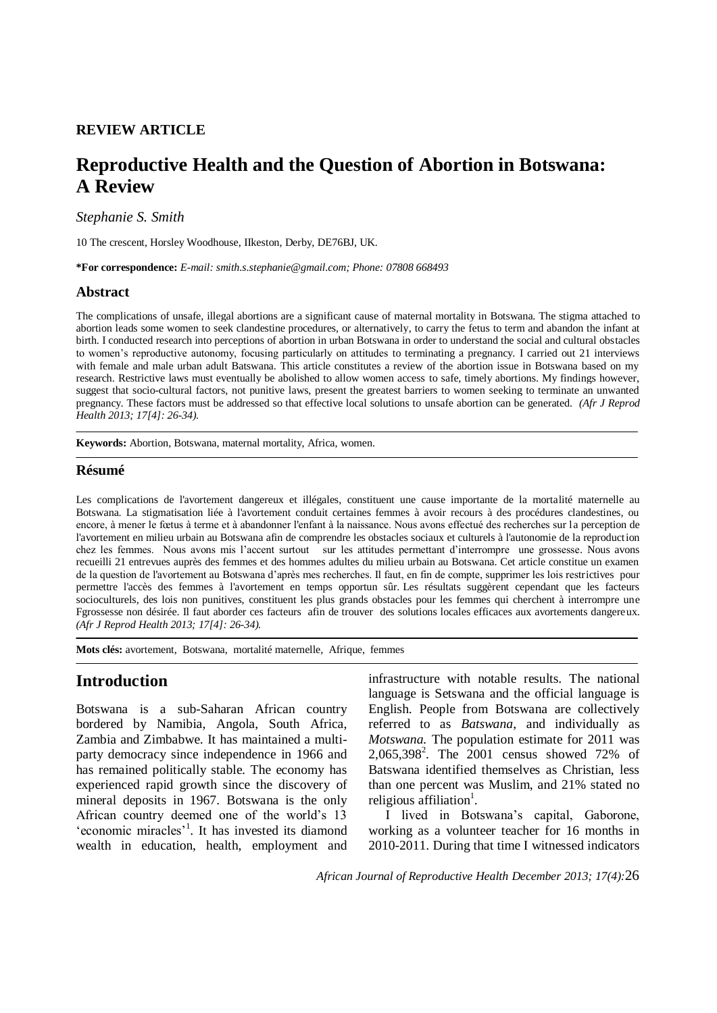### **REVIEW ARTICLE**

# **Reproductive Health and the Question of Abortion in Botswana: A Review**

*Stephanie S. Smith*

10 The crescent, Horsley Woodhouse, IIkeston, Derby, DE76BJ, UK.

**\*For correspondence:** *E-mail: smith.s.stephanie@gmail.com; Phone: 07808 668493*

### **Abstract**

The complications of unsafe, illegal abortions are a significant cause of maternal mortality in Botswana. The stigma attached to abortion leads some women to seek clandestine procedures, or alternatively, to carry the fetus to term and abandon the infant at birth. I conducted research into perceptions of abortion in urban Botswana in order to understand the social and cultural obstacles to women's reproductive autonomy, focusing particularly on attitudes to terminating a pregnancy. I carried out 21 interviews with female and male urban adult Batswana. This article constitutes a review of the abortion issue in Botswana based on my research. Restrictive laws must eventually be abolished to allow women access to safe, timely abortions. My findings however, suggest that socio-cultural factors, not punitive laws, present the greatest barriers to women seeking to terminate an unwanted pregnancy. These factors must be addressed so that effective local solutions to unsafe abortion can be generated. *(Afr J Reprod Health 2013; 17[4]: 26-34).*

**Keywords:** Abortion, Botswana, maternal mortality, Africa, women.

### **Résumé**

Les complications de l'avortement dangereux et illégales, constituent une cause importante de la mortalité maternelle au Botswana. La stigmatisation liée à l'avortement conduit certaines femmes à avoir recours à des procédures clandestines, ou encore, à mener le fœtus à terme et à abandonner l'enfant à la naissance. Nous avons effectué des recherches sur la perception de l'avortement en milieu urbain au Botswana afin de comprendre les obstacles sociaux et culturels à l'autonomie de la reproduction chez les femmes. Nous avons mis l'accent surtout sur les attitudes permettant d'interrompre une grossesse. Nous avons recueilli 21 entrevues auprès des femmes et des hommes adultes du milieu urbain au Botswana. Cet article constitue un examen de la question de l'avortement au Botswana d'après mes recherches. Il faut, en fin de compte, supprimer les lois restrictives pour permettre l'accès des femmes à l'avortement en temps opportun sûr. Les résultats suggèrent cependant que les facteurs socioculturels, des lois non punitives, constituent les plus grands obstacles pour les femmes qui cherchent à interrompre une Fgrossesse non désirée. Il faut aborder ces facteurs afin de trouver des solutions locales efficaces aux avortements dangereux. *(Afr J Reprod Health 2013; 17[4]: 26-34).*

**Mots clés:** avortement, Botswana, mortalité maternelle, Afrique, femmes

## **Introduction**

Botswana is a sub-Saharan African country bordered by Namibia, Angola, South Africa, Zambia and Zimbabwe. It has maintained a multiparty democracy since independence in 1966 and has remained politically stable. The economy has experienced rapid growth since the discovery of mineral deposits in 1967. Botswana is the only African country deemed one of the world's 13 'economic miracles'<sup>1</sup>. It has invested its diamond wealth in education, health, employment and

infrastructure with notable results. The national language is Setswana and the official language is English. People from Botswana are collectively referred to as *Batswana*, and individually as *Motswana.* The population estimate for 2011 was 2,065,398<sup>2</sup> . The 2001 census showed 72% of Batswana identified themselves as Christian, less than one percent was Muslim, and 21% stated no religious affiliation<sup>1</sup>.

I lived in Botswana's capital, Gaborone, working as a volunteer teacher for 16 months in 2010-2011. During that time I witnessed indicators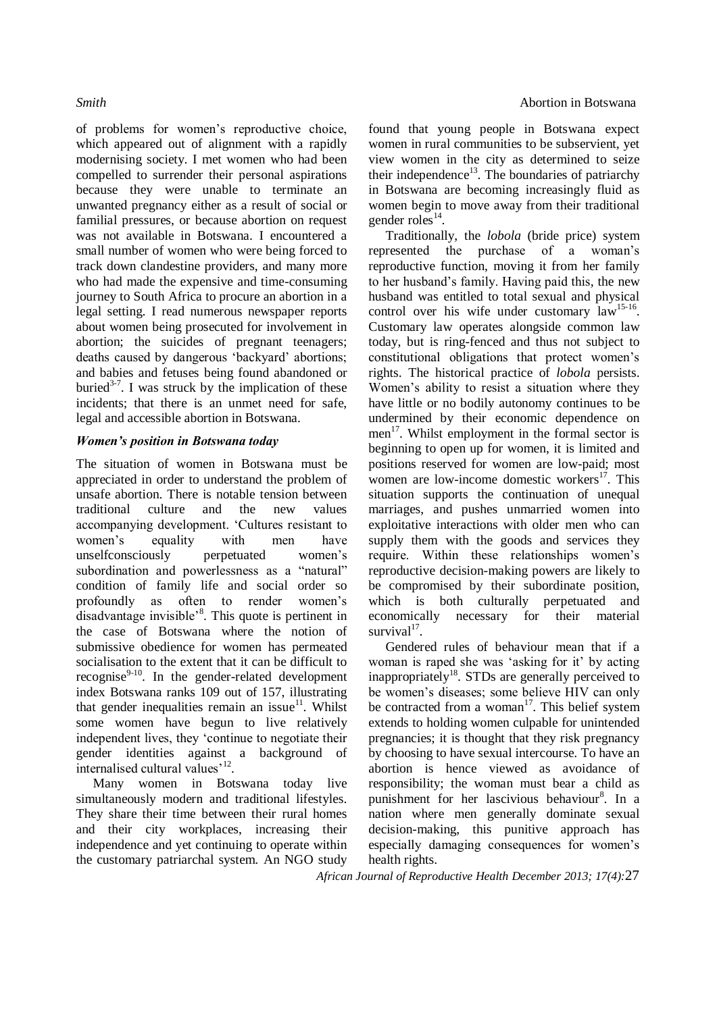of problems for women's reproductive choice, which appeared out of alignment with a rapidly modernising society. I met women who had been compelled to surrender their personal aspirations because they were unable to terminate an unwanted pregnancy either as a result of social or familial pressures, or because abortion on request was not available in Botswana. I encountered a small number of women who were being forced to track down clandestine providers, and many more who had made the expensive and time-consuming journey to South Africa to procure an abortion in a legal setting. I read numerous newspaper reports about women being prosecuted for involvement in abortion; the suicides of pregnant teenagers; deaths caused by dangerous 'backyard' abortions; and babies and fetuses being found abandoned or buried<sup>3-7</sup>. I was struck by the implication of these incidents; that there is an unmet need for safe, legal and accessible abortion in Botswana.

### *Women's position in Botswana today*

The situation of women in Botswana must be appreciated in order to understand the problem of unsafe abortion. There is notable tension between traditional culture and the new values accompanying development. 'Cultures resistant to women's equality with men have unselfconsciously perpetuated women's subordination and powerlessness as a "natural" condition of family life and social order so profoundly as often to render women's disadvantage invisible<sup>38</sup>. This quote is pertinent in the case of Botswana where the notion of submissive obedience for women has permeated socialisation to the extent that it can be difficult to recognise<sup>9-10</sup>. In the gender-related development index Botswana ranks 109 out of 157, illustrating that gender inequalities remain an issue<sup>11</sup>. Whilst some women have begun to live relatively independent lives, they 'continue to negotiate their gender identities against a background of internalised cultural values'<sup>12</sup>.

Many women in Botswana today live simultaneously modern and traditional lifestyles. They share their time between their rural homes and their city workplaces, increasing their independence and yet continuing to operate within the customary patriarchal system. An NGO study

found that young people in Botswana expect women in rural communities to be subservient, yet view women in the city as determined to seize their independence<sup>13</sup>. The boundaries of patriarchy in Botswana are becoming increasingly fluid as women begin to move away from their traditional gender roles $^{14}$ .

Traditionally, the *lobola* (bride price) system represented the purchase of a woman's reproductive function, moving it from her family to her husband's family. Having paid this*,* the new husband was entitled to total sexual and physical control over his wife under customary  $\alpha$ <sup>15-16</sup>. Customary law operates alongside common law today, but is ring-fenced and thus not subject to constitutional obligations that protect women's rights. The historical practice of *lobola* persists. Women's ability to resist a situation where they have little or no bodily autonomy continues to be undermined by their economic dependence on men<sup>17</sup>. Whilst employment in the formal sector is beginning to open up for women, it is limited and positions reserved for women are low-paid; most women are low-income domestic workers $^{17}$ . This situation supports the continuation of unequal marriages, and pushes unmarried women into exploitative interactions with older men who can supply them with the goods and services they require. Within these relationships women's reproductive decision-making powers are likely to be compromised by their subordinate position, which is both culturally perpetuated and economically necessary for their material  $survival<sup>17</sup>$ .

Gendered rules of behaviour mean that if a woman is raped she was 'asking for it' by acting inappropriately<sup>18</sup>. STDs are generally perceived to be women's diseases; some believe HIV can only be contracted from a woman $17$ . This belief system extends to holding women culpable for unintended pregnancies; it is thought that they risk pregnancy by choosing to have sexual intercourse. To have an abortion is hence viewed as avoidance of responsibility; the woman must bear a child as punishment for her lascivious behaviour<sup>8</sup>. In a nation where men generally dominate sexual decision-making, this punitive approach has especially damaging consequences for women's health rights.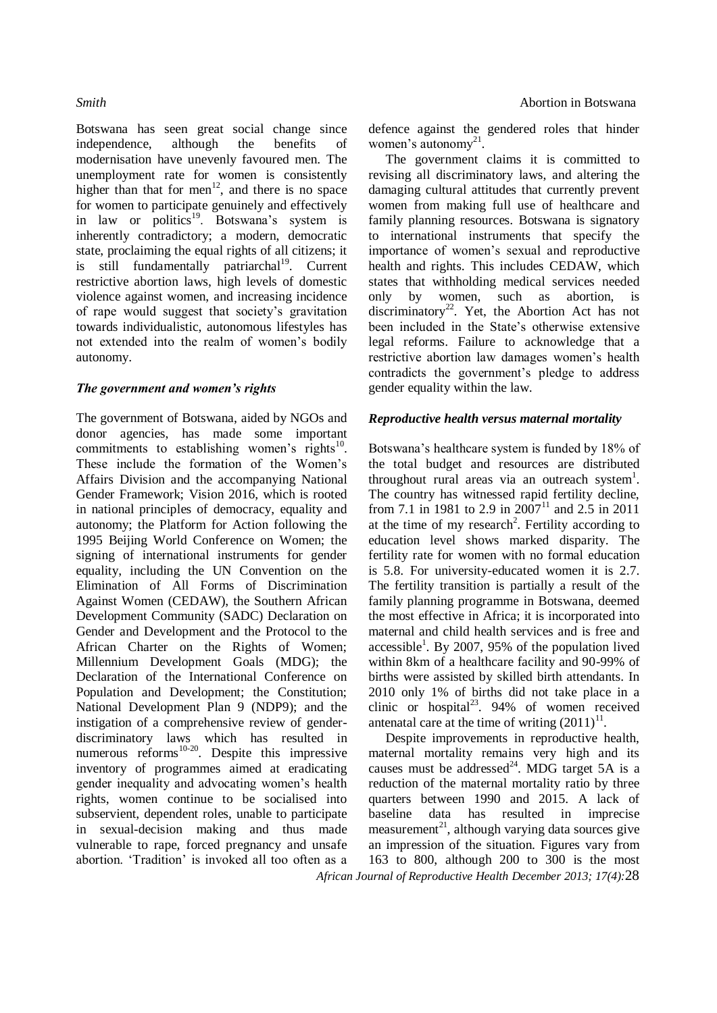Botswana has seen great social change since independence, although the benefits of modernisation have unevenly favoured men. The unemployment rate for women is consistently higher than that for men<sup>12</sup>, and there is no space for women to participate genuinely and effectively in law or politics<sup>19</sup>. Botswana's system is inherently contradictory; a modern, democratic state, proclaiming the equal rights of all citizens; it is still fundamentally patriarchal<sup>19</sup>. Current restrictive abortion laws, high levels of domestic violence against women, and increasing incidence of rape would suggest that society's gravitation towards individualistic, autonomous lifestyles has not extended into the realm of women's bodily autonomy.

### *The government and women's rights*

The government of Botswana, aided by NGOs and donor agencies, has made some important commitments to establishing women's rights $^{10}$ . These include the formation of the Women's Affairs Division and the accompanying National Gender Framework; Vision 2016, which is rooted in national principles of democracy, equality and autonomy; the Platform for Action following the 1995 Beijing World Conference on Women; the signing of international instruments for gender equality, including the UN Convention on the Elimination of All Forms of Discrimination Against Women (CEDAW), the Southern African Development Community (SADC) Declaration on Gender and Development and the Protocol to the African Charter on the Rights of Women; Millennium Development Goals (MDG); the Declaration of the International Conference on Population and Development; the Constitution; National Development Plan 9 (NDP9); and the instigation of a comprehensive review of genderdiscriminatory laws which has resulted in numerous reforms<sup>10-20</sup>. Despite this impressive inventory of programmes aimed at eradicating gender inequality and advocating women's health rights, women continue to be socialised into subservient, dependent roles, unable to participate in sexual-decision making and thus made vulnerable to rape, forced pregnancy and unsafe abortion. 'Tradition' is invoked all too often as a

defence against the gendered roles that hinder women's autonomy<sup>21</sup>.

The government claims it is committed to revising all discriminatory laws, and altering the damaging cultural attitudes that currently prevent women from making full use of healthcare and family planning resources. Botswana is signatory to international instruments that specify the importance of women's sexual and reproductive health and rights. This includes CEDAW, which states that withholding medical services needed only by women, such as abortion, is discriminatory<sup>22</sup>. Yet, the Abortion Act has not been included in the State's otherwise extensive legal reforms. Failure to acknowledge that a restrictive abortion law damages women's health contradicts the government's pledge to address gender equality within the law.

### *Reproductive health versus maternal mortality*

Botswana's healthcare system is funded by 18% of the total budget and resources are distributed throughout rural areas via an outreach system<sup>1</sup>. The country has witnessed rapid fertility decline, from 7.1 in 1981 to 2.9 in  $2007<sup>11</sup>$  and 2.5 in 2011 at the time of my research<sup>2</sup>. Fertility according to education level shows marked disparity. The fertility rate for women with no formal education is 5.8. For university-educated women it is 2.7. The fertility transition is partially a result of the family planning programme in Botswana, deemed the most effective in Africa; it is incorporated into maternal and child health services and is free and  $accessible<sup>1</sup>$ . By 2007, 95% of the population lived within 8km of a healthcare facility and 90-99% of births were assisted by skilled birth attendants. In 2010 only 1% of births did not take place in a clinic or hospital<sup>23</sup>. 94% of women received antenatal care at the time of writing  $(2011)^{11}$ .

*African Journal of Reproductive Health December 2013; 17(4):*28 Despite improvements in reproductive health, maternal mortality remains very high and its causes must be addressed<sup>24</sup>. MDG target 5A is a reduction of the maternal mortality ratio by three quarters between 1990 and 2015. A lack of baseline data has resulted in imprecise measurement $^{21}$ , although varying data sources give an impression of the situation. Figures vary from 163 to 800, although 200 to 300 is the most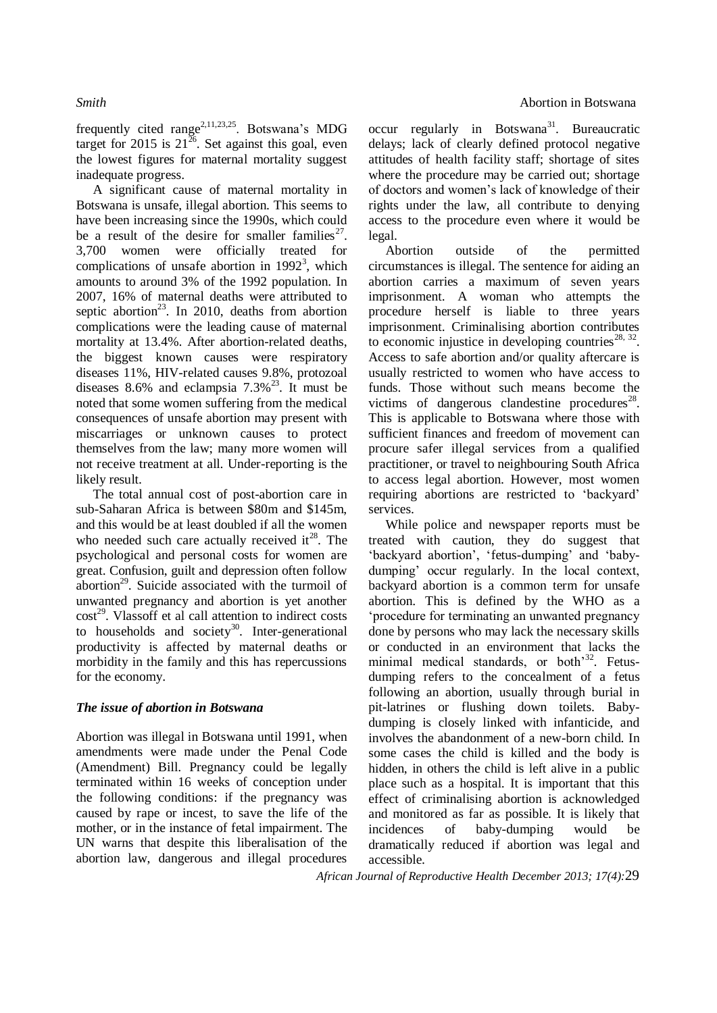frequently cited range<sup>2,11,23,25</sup>. Botswana's MDG target for 2015 is  $21^{26}$ . Set against this goal, even the lowest figures for maternal mortality suggest inadequate progress.

A significant cause of maternal mortality in Botswana is unsafe, illegal abortion. This seems to have been increasing since the 1990s, which could be a result of the desire for smaller families<sup>27</sup>. 3,700 women were officially treated for complications of unsafe abortion in  $1992<sup>3</sup>$ , which amounts to around 3% of the 1992 population. In 2007, 16% of maternal deaths were attributed to septic abortion<sup>23</sup>. In 2010, deaths from abortion complications were the leading cause of maternal mortality at 13.4%. After abortion-related deaths, the biggest known causes were respiratory diseases 11%, HIV-related causes 9.8%, protozoal diseases 8.6% and eclampsia  $7.3\%$ <sup>23</sup>. It must be noted that some women suffering from the medical consequences of unsafe abortion may present with miscarriages or unknown causes to protect themselves from the law; many more women will not receive treatment at all. Under-reporting is the likely result.

The total annual cost of post-abortion care in sub-Saharan Africa is between \$80m and \$145m, and this would be at least doubled if all the women who needed such care actually received it $^{28}$ . The psychological and personal costs for women are great. Confusion, guilt and depression often follow abortion<sup>29</sup>. Suicide associated with the turmoil of unwanted pregnancy and abortion is yet another  $cost^{29}$ . Vlassoff et al call attention to indirect costs to households and society<sup>30</sup>. Inter-generational productivity is affected by maternal deaths or morbidity in the family and this has repercussions for the economy.

### *The issue of abortion in Botswana*

Abortion was illegal in Botswana until 1991, when amendments were made under the Penal Code (Amendment) Bill. Pregnancy could be legally terminated within 16 weeks of conception under the following conditions: if the pregnancy was caused by rape or incest, to save the life of the mother, or in the instance of fetal impairment. The UN warns that despite this liberalisation of the abortion law, dangerous and illegal procedures

 $\text{occur}$  regularly in Botswana<sup>31</sup>. Bureaucratic delays; lack of clearly defined protocol negative attitudes of health facility staff; shortage of sites where the procedure may be carried out; shortage of doctors and women's lack of knowledge of their rights under the law, all contribute to denying access to the procedure even where it would be legal.

Abortion outside of the permitted circumstances is illegal. The sentence for aiding an abortion carries a maximum of seven years imprisonment. A woman who attempts the procedure herself is liable to three years imprisonment. Criminalising abortion contributes to economic injustice in developing countries<sup>28, 32</sup>. Access to safe abortion and/or quality aftercare is usually restricted to women who have access to funds. Those without such means become the victims of dangerous clandestine procedures $^{28}$ . This is applicable to Botswana where those with sufficient finances and freedom of movement can procure safer illegal services from a qualified practitioner, or travel to neighbouring South Africa to access legal abortion. However, most women requiring abortions are restricted to 'backyard' services.

While police and newspaper reports must be treated with caution, they do suggest that 'backyard abortion', 'fetus-dumping' and 'babydumping' occur regularly. In the local context, backyard abortion is a common term for unsafe abortion. This is defined by the WHO as a 'procedure for terminating an unwanted pregnancy done by persons who may lack the necessary skills or conducted in an environment that lacks the minimal medical standards, or both<sup>33</sup>. Fetusdumping refers to the concealment of a fetus following an abortion, usually through burial in pit-latrines or flushing down toilets. Babydumping is closely linked with infanticide, and involves the abandonment of a new-born child. In some cases the child is killed and the body is hidden, in others the child is left alive in a public place such as a hospital. It is important that this effect of criminalising abortion is acknowledged and monitored as far as possible. It is likely that incidences of baby-dumping would be dramatically reduced if abortion was legal and accessible.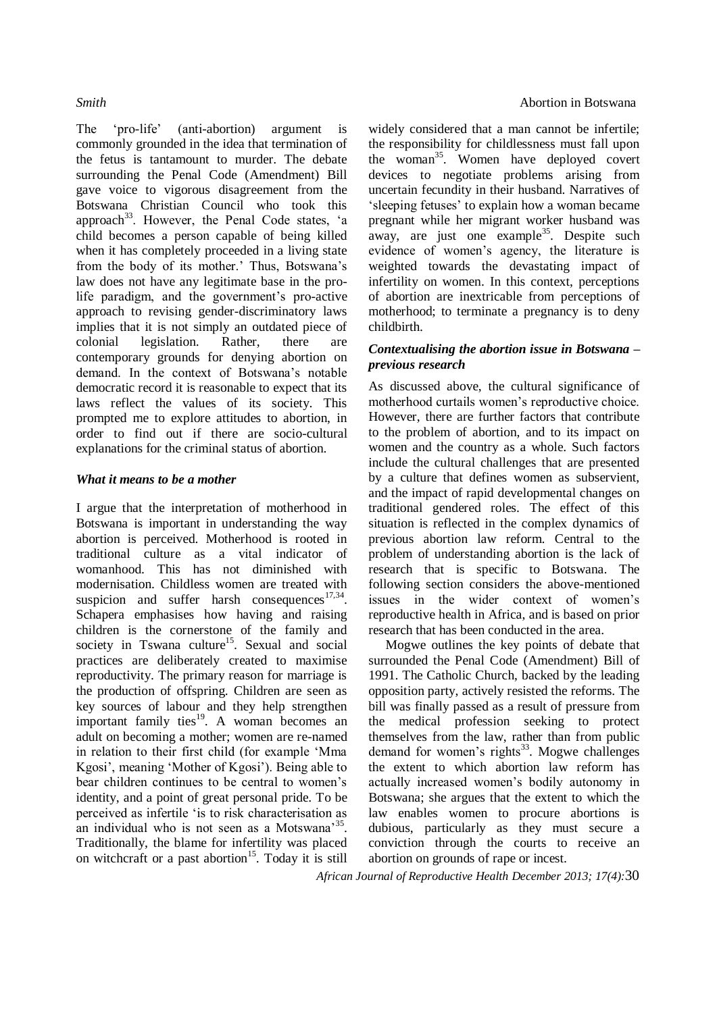The 'pro-life' (anti-abortion) argument is commonly grounded in the idea that termination of the fetus is tantamount to murder. The debate surrounding the Penal Code (Amendment) Bill gave voice to vigorous disagreement from the Botswana Christian Council who took this approach<sup>33</sup>. However, the Penal Code states, 'a child becomes a person capable of being killed when it has completely proceeded in a living state from the body of its mother.' Thus, Botswana's law does not have any legitimate base in the prolife paradigm, and the government's pro-active approach to revising gender-discriminatory laws implies that it is not simply an outdated piece of colonial legislation. Rather, there are contemporary grounds for denying abortion on demand. In the context of Botswana's notable democratic record it is reasonable to expect that its laws reflect the values of its society. This prompted me to explore attitudes to abortion, in order to find out if there are socio-cultural explanations for the criminal status of abortion.

### *What it means to be a mother*

I argue that the interpretation of motherhood in Botswana is important in understanding the way abortion is perceived. Motherhood is rooted in traditional culture as a vital indicator of womanhood. This has not diminished with modernisation. Childless women are treated with suspicion and suffer harsh consequences  $17,34$ . Schapera emphasises how having and raising children is the cornerstone of the family and society in Tswana culture<sup>15</sup>. Sexual and social practices are deliberately created to maximise reproductivity. The primary reason for marriage is the production of offspring. Children are seen as key sources of labour and they help strengthen important family ties<sup>19</sup>. A woman becomes an adult on becoming a mother; women are re-named in relation to their first child (for example 'Mma Kgosi', meaning 'Mother of Kgosi'). Being able to bear children continues to be central to women's identity, and a point of great personal pride. To be perceived as infertile 'is to risk characterisation as an individual who is not seen as a Motswana<sup>35</sup>. Traditionally, the blame for infertility was placed on witchcraft or a past abortion<sup>15</sup>. Today it is still

### **Smith Abortion in Botswana**

widely considered that a man cannot be infertile; the responsibility for childlessness must fall upon the woman<sup>35</sup>. Women have deployed covert devices to negotiate problems arising from uncertain fecundity in their husband. Narratives of 'sleeping fetuses' to explain how a woman became pregnant while her migrant worker husband was away, are just one example<sup>35</sup>. Despite such evidence of women's agency, the literature is weighted towards the devastating impact of infertility on women. In this context, perceptions of abortion are inextricable from perceptions of motherhood; to terminate a pregnancy is to deny childbirth.

### *Contextualising the abortion issue in Botswana – previous research*

As discussed above, the cultural significance of motherhood curtails women's reproductive choice. However, there are further factors that contribute to the problem of abortion, and to its impact on women and the country as a whole. Such factors include the cultural challenges that are presented by a culture that defines women as subservient, and the impact of rapid developmental changes on traditional gendered roles. The effect of this situation is reflected in the complex dynamics of previous abortion law reform. Central to the problem of understanding abortion is the lack of research that is specific to Botswana. The following section considers the above-mentioned issues in the wider context of women's reproductive health in Africa, and is based on prior research that has been conducted in the area.

Mogwe outlines the key points of debate that surrounded the Penal Code (Amendment) Bill of 1991. The Catholic Church, backed by the leading opposition party, actively resisted the reforms. The bill was finally passed as a result of pressure from the medical profession seeking to protect themselves from the law, rather than from public demand for women's rights $33$ . Mogwe challenges the extent to which abortion law reform has actually increased women's bodily autonomy in Botswana; she argues that the extent to which the law enables women to procure abortions is dubious, particularly as they must secure a conviction through the courts to receive an abortion on grounds of rape or incest.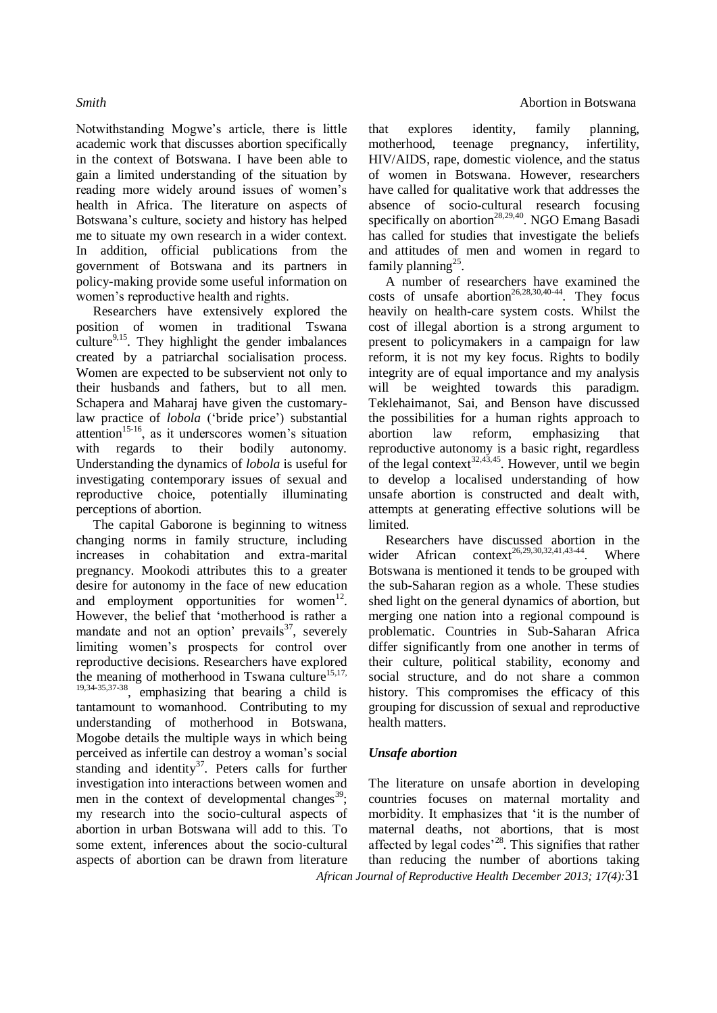Notwithstanding Mogwe's article, there is little academic work that discusses abortion specifically in the context of Botswana. I have been able to gain a limited understanding of the situation by reading more widely around issues of women's health in Africa. The literature on aspects of Botswana's culture, society and history has helped me to situate my own research in a wider context. In addition, official publications from the government of Botswana and its partners in policy-making provide some useful information on women's reproductive health and rights.

Researchers have extensively explored the position of women in traditional Tswana culture $9,15$ . They highlight the gender imbalances created by a patriarchal socialisation process. Women are expected to be subservient not only to their husbands and fathers, but to all men. Schapera and Maharaj have given the customarylaw practice of *lobola* ('bride price') substantial attention<sup>15-16</sup>, as it underscores women's situation with regards to their bodily autonomy. Understanding the dynamics of *lobola* is useful for investigating contemporary issues of sexual and reproductive choice, potentially illuminating perceptions of abortion.

The capital Gaborone is beginning to witness changing norms in family structure, including increases in cohabitation and extra-marital pregnancy. Mookodi attributes this to a greater desire for autonomy in the face of new education and employment opportunities for women $12$ . However, the belief that 'motherhood is rather a mandate and not an option' prevails $37$ , severely limiting women's prospects for control over reproductive decisions. Researchers have explored the meaning of motherhood in Tswana culture<sup>15,17,</sup> 19,34-35,37-38, emphasizing that bearing a child is tantamount to womanhood. Contributing to my understanding of motherhood in Botswana, Mogobe details the multiple ways in which being perceived as infertile can destroy a woman's social standing and identity $37$ . Peters calls for further investigation into interactions between women and men in the context of developmental changes<sup>39</sup>; my research into the socio-cultural aspects of abortion in urban Botswana will add to this. To some extent, inferences about the socio-cultural aspects of abortion can be drawn from literature

that explores identity, family planning, motherhood, teenage pregnancy, infertility, HIV/AIDS, rape, domestic violence, and the status of women in Botswana. However, researchers have called for qualitative work that addresses the absence of socio-cultural research focusing specifically on abortion<sup>28,29,40</sup>. NGO Emang Basadi has called for studies that investigate the beliefs and attitudes of men and women in regard to family planning<sup>25</sup>.

A number of researchers have examined the costs of unsafe abortion<sup>26,28,30,40-44</sup>. They focus heavily on health-care system costs. Whilst the cost of illegal abortion is a strong argument to present to policymakers in a campaign for law reform, it is not my key focus. Rights to bodily integrity are of equal importance and my analysis will be weighted towards this paradigm. Teklehaimanot, Sai, and Benson have discussed the possibilities for a human rights approach to abortion law reform, emphasizing that reproductive autonomy is a basic right, regardless of the legal context<sup>32,43,45</sup>. However, until we begin to develop a localised understanding of how unsafe abortion is constructed and dealt with, attempts at generating effective solutions will be limited.

Researchers have discussed abortion in the wider African context<sup>26,29,30,32,41,43-44</sup>. Where Botswana is mentioned it tends to be grouped with the sub-Saharan region as a whole. These studies shed light on the general dynamics of abortion, but merging one nation into a regional compound is problematic. Countries in Sub-Saharan Africa differ significantly from one another in terms of their culture, political stability, economy and social structure, and do not share a common history. This compromises the efficacy of this grouping for discussion of sexual and reproductive health matters.

### *Unsafe abortion*

*African Journal of Reproductive Health December 2013; 17(4):*31 The literature on unsafe abortion in developing countries focuses on maternal mortality and morbidity. It emphasizes that 'it is the number of maternal deaths, not abortions, that is most affected by legal codes<sup>'28</sup>. This signifies that rather than reducing the number of abortions taking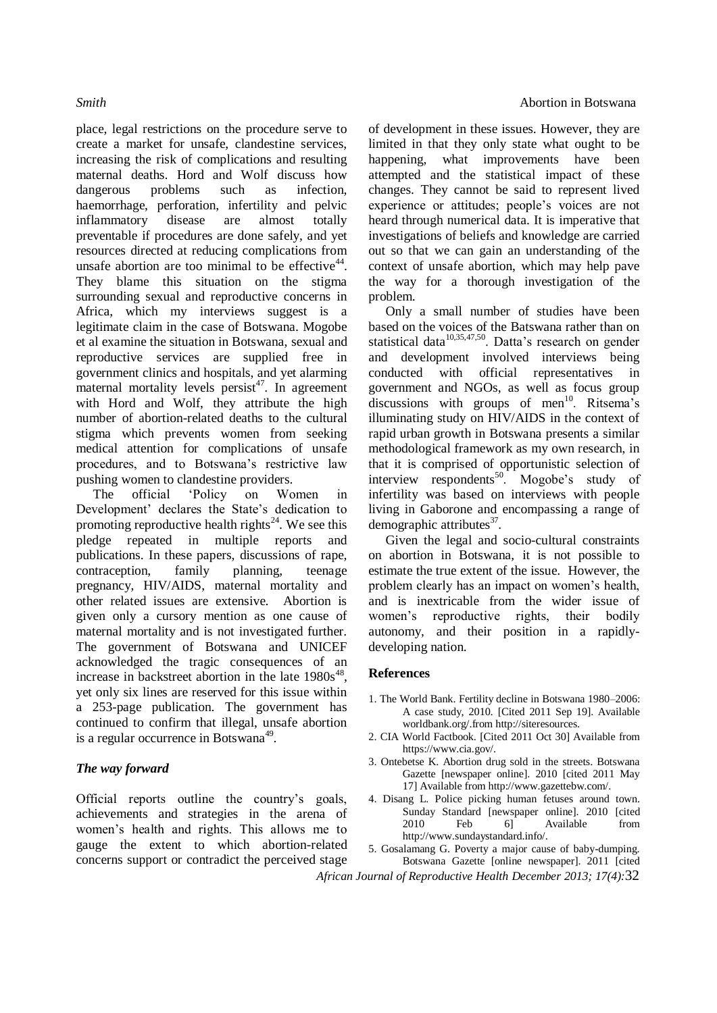place, legal restrictions on the procedure serve to create a market for unsafe, clandestine services, increasing the risk of complications and resulting maternal deaths. Hord and Wolf discuss how dangerous problems such as infection, haemorrhage, perforation, infertility and pelvic inflammatory disease are almost totally preventable if procedures are done safely, and yet resources directed at reducing complications from unsafe abortion are too minimal to be effective $44$ . They blame this situation on the stigma surrounding sexual and reproductive concerns in Africa, which my interviews suggest is a legitimate claim in the case of Botswana. Mogobe et al examine the situation in Botswana, sexual and reproductive services are supplied free in government clinics and hospitals, and yet alarming maternal mortality levels  $persist<sup>47</sup>$ . In agreement with Hord and Wolf, they attribute the high number of abortion-related deaths to the cultural stigma which prevents women from seeking medical attention for complications of unsafe procedures, and to Botswana's restrictive law pushing women to clandestine providers.

The official 'Policy on Women in Development' declares the State's dedication to promoting reproductive health rights<sup>24</sup>. We see this pledge repeated in multiple reports and publications. In these papers, discussions of rape, contraception, family planning, teenage pregnancy, HIV/AIDS, maternal mortality and other related issues are extensive. Abortion is given only a cursory mention as one cause of maternal mortality and is not investigated further. The government of Botswana and UNICEF acknowledged the tragic consequences of an increase in backstreet abortion in the late  $1980s^{48}$ , yet only six lines are reserved for this issue within a 253-page publication. The government has continued to confirm that illegal, unsafe abortion is a regular occurrence in Botswana<sup>49</sup>.

### *The way forward*

Official reports outline the country's goals, achievements and strategies in the arena of women's health and rights. This allows me to gauge the extent to which abortion-related concerns support or contradict the perceived stage of development in these issues. However, they are limited in that they only state what ought to be happening, what improvements have been attempted and the statistical impact of these changes. They cannot be said to represent lived experience or attitudes; people's voices are not heard through numerical data. It is imperative that investigations of beliefs and knowledge are carried out so that we can gain an understanding of the context of unsafe abortion, which may help pave the way for a thorough investigation of the problem.

Only a small number of studies have been based on the voices of the Batswana rather than on statistical data $10,35,47,50$ . Datta's research on gender and development involved interviews being conducted with official representatives in government and NGOs, as well as focus group discussions with groups of men<sup>10</sup>. Ritsema's illuminating study on HIV/AIDS in the context of rapid urban growth in Botswana presents a similar methodological framework as my own research, in that it is comprised of opportunistic selection of interview respondents<sup>50</sup>. Mogobe's study of infertility was based on interviews with people living in Gaborone and encompassing a range of demographic attributes<sup>37</sup>.

Given the legal and socio-cultural constraints on abortion in Botswana, it is not possible to estimate the true extent of the issue. However, the problem clearly has an impact on women's health, and is inextricable from the wider issue of women's reproductive rights, their bodily autonomy, and their position in a rapidlydeveloping nation.

### **References**

- 1. The World Bank. Fertility decline in Botswana 1980–2006: A case study, 2010. [Cited 2011 Sep 19]. Available worldbank.org/.from http://siteresources.
- 2. CIA World Factbook. [Cited 2011 Oct 30] Available from https://www.cia.gov/.
- 3. Ontebetse K. Abortion drug sold in the streets. Botswana Gazette [newspaper online]. 2010 [cited 2011 May 17] Available from http://www.gazettebw.com/.
- 4. Disang L. Police picking human fetuses around town. Sunday Standard [newspaper online]. 2010 [cited 2010 Feb 6] Available from http://www.sundaystandard.info/.
- 5. Gosalamang G. Poverty a major cause of baby-dumping. Botswana Gazette [online newspaper]. 2011 [cited
- *African Journal of Reproductive Health December 2013; 17(4):*32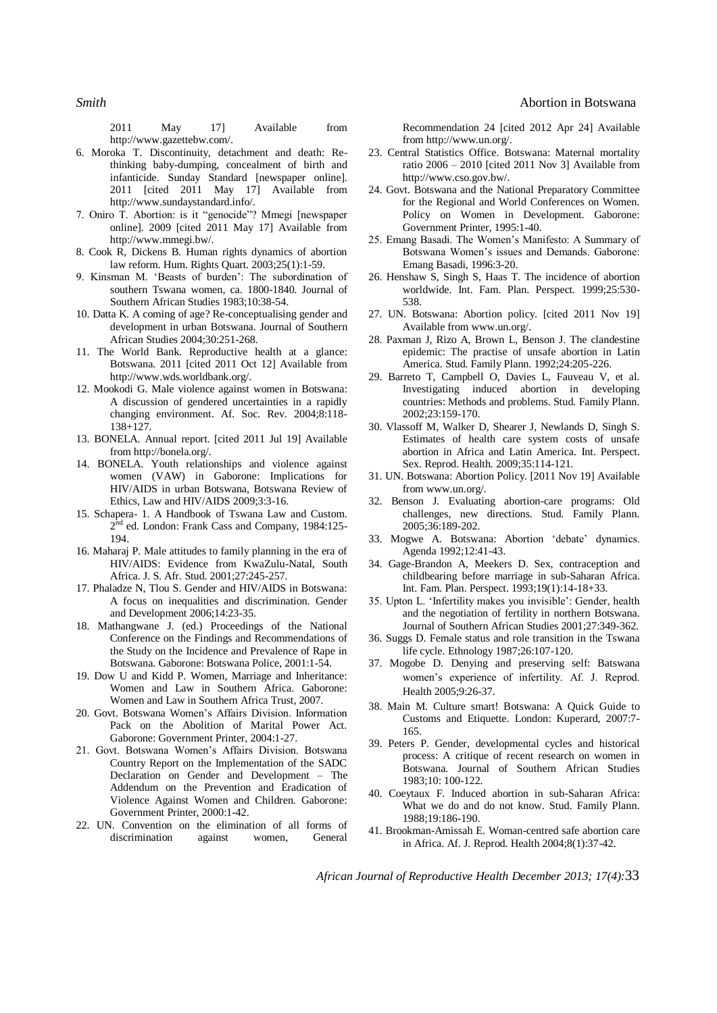**Smith Abortion in Botswana** 

2011 May 17] Available from http://www.gazettebw.com/.

- 6. Moroka T. Discontinuity, detachment and death: Rethinking baby-dumping, concealment of birth and infanticide. Sunday Standard [newspaper online]. 2011 [cited 2011 May 17] Available from http://www.sundaystandard.info/.
- 7. Oniro T. Abortion: is it "genocide"? Mmegi [newspaper online]. 2009 [cited 2011 May 17] Available from http://www.mmegi.bw/.
- 8. Cook R, Dickens B. Human rights dynamics of abortion law reform. Hum. Rights Quart. 2003;25(1):1-59.
- 9. Kinsman M. 'Beasts of burden': The subordination of southern Tswana women, ca. 1800-1840. Journal of Southern African Studies 1983;10:38-54.
- 10. Datta K. A coming of age? Re-conceptualising gender and development in urban Botswana. Journal of Southern African Studies 2004;30:251-268.
- 11. The World Bank. Reproductive health at a glance: Botswana. 2011 [cited 2011 Oct 12] Available from http://www.wds.worldbank.org/.
- 12. Mookodi G. Male violence against women in Botswana: A discussion of gendered uncertainties in a rapidly changing environment. Af. Soc. Rev. 2004;8:118- 138+127.
- 13. BONELA. Annual report. [cited 2011 Jul 19] Available from http://bonela.org/.
- 14. BONELA. Youth relationships and violence against women (VAW) in Gaborone: Implications for HIV/AIDS in urban Botswana, Botswana Review of Ethics, Law and HIV/AIDS 2009;3:3-16.
- 15. Schapera- 1. A Handbook of Tswana Law and Custom. 2<sup>nd</sup> ed. London: Frank Cass and Company, 1984:125-194.
- 16. Maharaj P. Male attitudes to family planning in the era of HIV/AIDS: Evidence from KwaZulu-Natal, South Africa. J. S. Afr. Stud. 2001;27:245-257.
- 17. Phaladze N, Tlou S. Gender and HIV/AIDS in Botswana: A focus on inequalities and discrimination. Gender and Development 2006;14:23-35.
- 18. Mathangwane J. (ed.) Proceedings of the National Conference on the Findings and Recommendations of the Study on the Incidence and Prevalence of Rape in Botswana. Gaborone: Botswana Police, 2001:1-54.
- 19. Dow U and Kidd P. Women, Marriage and Inheritance: Women and Law in Southern Africa. Gaborone: Women and Law in Southern Africa Trust, 2007.
- 20. Govt. Botswana Women's Affairs Division. Information Pack on the Abolition of Marital Power Act. Gaborone: Government Printer, 2004:1-27.
- 21. Govt. Botswana Women's Affairs Division. Botswana Country Report on the Implementation of the SADC Declaration on Gender and Development – The Addendum on the Prevention and Eradication of Violence Against Women and Children. Gaborone: Government Printer, 2000:1-42.
- 22. UN. Convention on the elimination of all forms of discrimination against women, General discrimination against women, General

Recommendation 24 [cited 2012 Apr 24] Available from http://www.un.org/.

- 23. Central Statistics Office. Botswana: Maternal mortality ratio 2006 – 2010 [cited 2011 Nov 3] Available from http://www.cso.gov.bw/.
- 24. Govt. Botswana and the National Preparatory Committee for the Regional and World Conferences on Women. Policy on Women in Development. Gaborone: Government Printer, 1995:1-40.
- 25. Emang Basadi. The Women's Manifesto: A Summary of Botswana Women's issues and Demands. Gaborone: Emang Basadi, 1996:3-20.
- 26. Henshaw S, Singh S, Haas T. The incidence of abortion worldwide. Int. Fam. Plan. Perspect. 1999;25:530- 538.
- 27. UN. Botswana: Abortion policy. [cited 2011 Nov 19] Available from www.un.org/.
- 28. Paxman J, Rizo A, Brown L, Benson J. The clandestine epidemic: The practise of unsafe abortion in Latin America. Stud. Family Plann. 1992;24:205-226.
- 29. Barreto T, Campbell O, Davies L, Fauveau V, et al. Investigating induced abortion in developing countries: Methods and problems. Stud. Family Plann. 2002;23:159-170.
- 30. Vlassoff M, Walker D, Shearer J, Newlands D, Singh S. Estimates of health care system costs of unsafe abortion in Africa and Latin America. Int. Perspect. Sex. Reprod. Health. 2009;35:114-121.
- 31. UN. Botswana: Abortion Policy. [2011 Nov 19] Available from www.un.org/.
- 32. Benson J. Evaluating abortion-care programs: Old challenges, new directions. Stud. Family Plann. 2005;36:189-202.
- 33. Mogwe A. Botswana: Abortion 'debate' dynamics. Agenda 1992;12:41-43.
- 34. Gage-Brandon A, Meekers D. Sex, contraception and childbearing before marriage in sub-Saharan Africa. Int. Fam. Plan. Perspect. 1993;19(1):14-18+33.
- 35. Upton L. 'Infertility makes you invisible': Gender, health and the negotiation of fertility in northern Botswana. Journal of Southern African Studies 2001;27:349-362.
- 36. Suggs D. Female status and role transition in the Tswana life cycle. Ethnology 1987;26:107-120.
- 37. Mogobe D. Denying and preserving self: Batswana women's experience of infertility. Af. J. Reprod. Health 2005;9:26-37.
- 38. Main M. Culture smart! Botswana: A Quick Guide to Customs and Etiquette. London: Kuperard, 2007:7- 165.
- 39. Peters P. Gender, developmental cycles and historical process: A critique of recent research on women in Botswana. Journal of Southern African Studies 1983;10: 100-122.
- 40. Coeytaux F. Induced abortion in sub-Saharan Africa: What we do and do not know. Stud. Family Plann. 1988;19:186-190.
- 41. Brookman-Amissah E. Woman-centred safe abortion care in Africa. Af. J. Reprod. Health 2004;8(1):37-42.